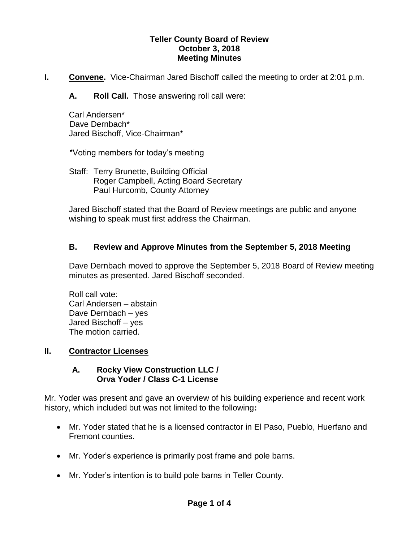#### **Teller County Board of Review October 3, 2018 Meeting Minutes**

- **I.** Convene. Vice-Chairman Jared Bischoff called the meeting to order at 2:01 p.m.
	- **A. Roll Call.** Those answering roll call were:

Carl Andersen\* Dave Dernbach\* Jared Bischoff, Vice-Chairman\*

\*Voting members for today's meeting

Staff: Terry Brunette, Building Official Roger Campbell, Acting Board Secretary Paul Hurcomb, County Attorney

Jared Bischoff stated that the Board of Review meetings are public and anyone wishing to speak must first address the Chairman.

# **B. Review and Approve Minutes from the September 5, 2018 Meeting**

Dave Dernbach moved to approve the September 5, 2018 Board of Review meeting minutes as presented. Jared Bischoff seconded.

Roll call vote: Carl Andersen – abstain Dave Dernbach – yes Jared Bischoff – yes The motion carried.

## **II. Contractor Licenses**

## **A. Rocky View Construction LLC / Orva Yoder / Class C-1 License**

Mr. Yoder was present and gave an overview of his building experience and recent work history, which included but was not limited to the following**:**

- Mr. Yoder stated that he is a licensed contractor in El Paso, Pueblo, Huerfano and Fremont counties.
- Mr. Yoder's experience is primarily post frame and pole barns.
- Mr. Yoder's intention is to build pole barns in Teller County.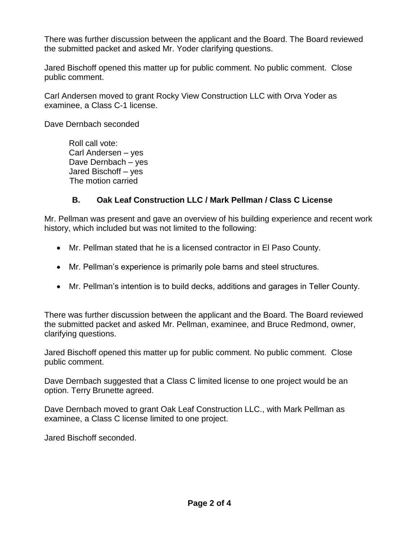There was further discussion between the applicant and the Board. The Board reviewed the submitted packet and asked Mr. Yoder clarifying questions.

Jared Bischoff opened this matter up for public comment. No public comment. Close public comment.

Carl Andersen moved to grant Rocky View Construction LLC with Orva Yoder as examinee, a Class C-1 license.

Dave Dernbach seconded

Roll call vote: Carl Andersen – yes Dave Dernbach – yes Jared Bischoff – yes The motion carried

## **B. Oak Leaf Construction LLC / Mark Pellman / Class C License**

Mr. Pellman was present and gave an overview of his building experience and recent work history, which included but was not limited to the following:

- Mr. Pellman stated that he is a licensed contractor in El Paso County.
- Mr. Pellman's experience is primarily pole barns and steel structures.
- Mr. Pellman's intention is to build decks, additions and garages in Teller County.

There was further discussion between the applicant and the Board. The Board reviewed the submitted packet and asked Mr. Pellman, examinee, and Bruce Redmond, owner, clarifying questions.

Jared Bischoff opened this matter up for public comment. No public comment. Close public comment.

Dave Dernbach suggested that a Class C limited license to one project would be an option. Terry Brunette agreed.

Dave Dernbach moved to grant Oak Leaf Construction LLC., with Mark Pellman as examinee, a Class C license limited to one project.

Jared Bischoff seconded.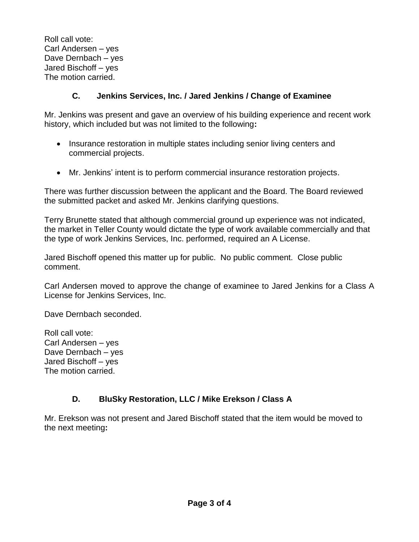Roll call vote: Carl Andersen – yes Dave Dernbach – yes Jared Bischoff – yes The motion carried.

## **C. Jenkins Services, Inc. / Jared Jenkins / Change of Examinee**

Mr. Jenkins was present and gave an overview of his building experience and recent work history, which included but was not limited to the following**:**

- Insurance restoration in multiple states including senior living centers and commercial projects.
- Mr. Jenkins' intent is to perform commercial insurance restoration projects.

There was further discussion between the applicant and the Board. The Board reviewed the submitted packet and asked Mr. Jenkins clarifying questions.

Terry Brunette stated that although commercial ground up experience was not indicated, the market in Teller County would dictate the type of work available commercially and that the type of work Jenkins Services, Inc. performed, required an A License.

Jared Bischoff opened this matter up for public. No public comment. Close public comment.

Carl Andersen moved to approve the change of examinee to Jared Jenkins for a Class A License for Jenkins Services, Inc.

Dave Dernbach seconded.

Roll call vote: Carl Andersen – yes Dave Dernbach – yes Jared Bischoff – yes The motion carried.

# **D. BluSky Restoration, LLC / Mike Erekson / Class A**

Mr. Erekson was not present and Jared Bischoff stated that the item would be moved to the next meeting**:**